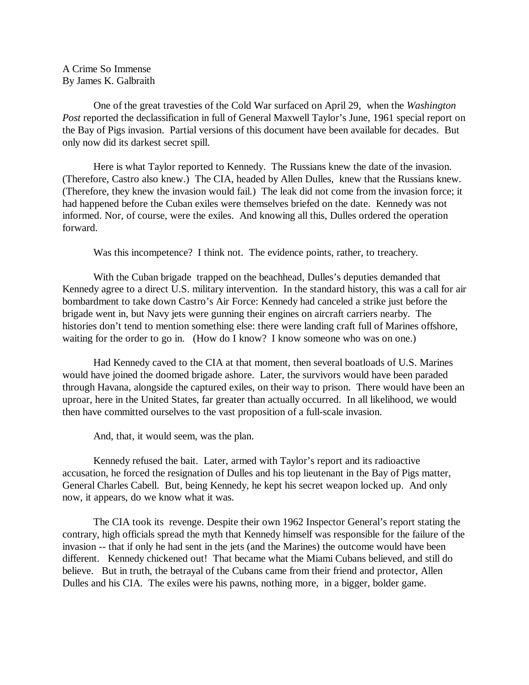A Crime So Immense By James K. Galbraith

One of the great travesties of the Cold War surfaced on April 29, when the *Washington Post* reported the declassification in full of General Maxwell Taylor's June, 1961 special report on the Bay of Pigs invasion. Partial versions of this document have been available for decades. But only now did its darkest secret spill.

Here is what Taylor reported to Kennedy. The Russians knew the date of the invasion. (Therefore, Castro also knew.) The CIA, headed by Allen Dulles, knew that the Russians knew. (Therefore, they knew the invasion would fail.) The leak did not come from the invasion force; it had happened before the Cuban exiles were themselves briefed on the date. Kennedy was not informed. Nor, of course, were the exiles. And knowing all this, Dulles ordered the operation forward.

Was this incompetence? I think not. The evidence points, rather, to treachery.

With the Cuban brigade trapped on the beachhead, Dulles's deputies demanded that Kennedy agree to a direct U.S. military intervention. In the standard history, this was a call for air bombardment to take down Castro's Air Force: Kennedy had canceled a strike just before the brigade went in, but Navy jets were gunning their engines on aircraft carriers nearby. The histories don't tend to mention something else: there were landing craft full of Marines offshore, waiting for the order to go in. (How do I know? I know someone who was on one.)

Had Kennedy caved to the CIA at that moment, then several boatloads of U.S. Marines would have joined the doomed brigade ashore. Later, the survivors would have been paraded through Havana, alongside the captured exiles, on their way to prison. There would have been an uproar, here in the United States, far greater than actually occurred. In all likelihood, we would then have committed ourselves to the vast proposition of a full-scale invasion.

And, that, it would seem, was the plan.

Kennedy refused the bait. Later, armed with Taylor's report and its radioactive accusation, he forced the resignation of Dulles and his top lieutenant in the Bay of Pigs matter, General Charles Cabell. But, being Kennedy, he kept his secret weapon locked up. And only now, it appears, do we know what it was.

The CIA took its revenge. Despite their own 1962 Inspector General's report stating the contrary, high officials spread the myth that Kennedy himself was responsible for the failure of the invasion -- that if only he had sent in the jets (and the Marines) the outcome would have been different. Kennedy chickened out! That became what the Miami Cubans believed, and still do believe. But in truth, the betrayal of the Cubans came from their friend and protector, Allen Dulles and his CIA. The exiles were his pawns, nothing more, in a bigger, bolder game.